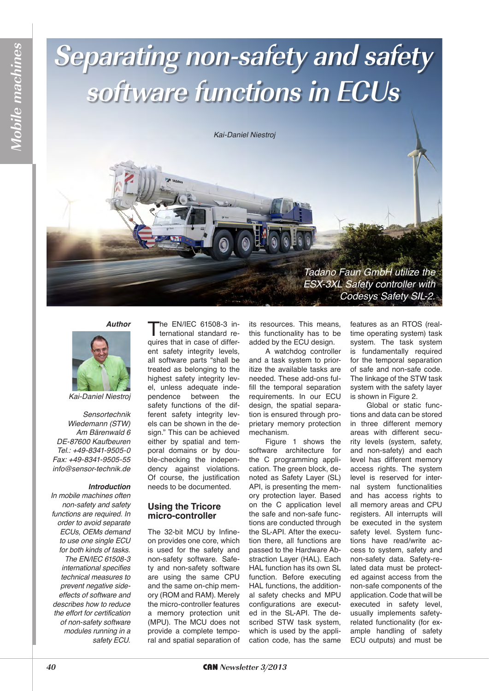# **Separating non-safety and safety software functions in ECUs**

*Kai-Daniel Niestroj*



#### **Author**



**Mobile machines***Aobile machines* 

*Kai-Daniel Niestroj*

*Sensortechnik Wiedemann (STW) Am Bärenwald 6 DE-87600 Kaufbeuren* Tel.: +49-8341-9505-0 Fax: +49-8341-9505-55 *info@sensor-technik.de*

### **Introduction**

*In mobile machines often non-safety and safety*  functions are required. In *order to avoid separate ECUs, OEMs demand to use one single ECU for both kinds of tasks.*  The EN/IEC 61508-3 *international specifies technical measures to prevent negative sideeffects of software and describes how to reduce the effort for certification of non-safety software modules running in a safety ECU.*

The EN/IEC 61508-3 international standard requires that in case of different safety integrity levels, all software parts "shall be treated as belonging to the highest safety integrity level, unless adequate independence between the safety functions of the different safety integrity levels can be shown in the design." This can be achieved either by spatial and temporal domains or by double-checking the independency against violations. Of course, the justification needs to be documented.

# **Using the Tricore micro-controller**

The 32-bit MCU by Infineon provides one core, which is used for the safety and non-safety software. Safety and non-safety software are using the same CPU and the same on-chip memory (ROM and RAM). Merely the micro-controller features a memory protection unit (MPU). The MCU does not provide a complete temporal and spatial separation of its resources. This means, this functionality has to be added by the ECU design.

A watchdog controller and a task system to prioritize the available tasks are needed. These add-ons fulfill the temporal separation requirements. In our ECU design, the spatial separation is ensured through proprietary memory protection mechanism.

Figure 1 shows the software architecture for the C programming application. The green block, denoted as Safety Layer (SL) API, is presenting the memory protection layer. Based on the C application level the safe and non-safe functions are conducted through the SL-API. After the execution there, all functions are passed to the Hardware Abstraction Layer (HAL). Each HAL function has its own SL function. Before executing HAL functions, the additional safety checks and MPU configurations are executed in the SL-API. The described STW task system, which is used by the application code, has the same

features as an RTOS (realtime operating system) task system. The task system is fundamentally required for the temporal separation of safe and non-safe code. The linkage of the STW task system with the safety layer is shown in Figure 2.

Global or static functions and data can be stored in three different memory areas with different security levels (system, safety, and non-safety) and each level has different memory access rights. The system level is reserved for internal system functionalities and has access rights to all memory areas and CPU registers. All interrupts will be executed in the system safety level. System functions have read/write access to system, safety and non-safety data. Safety-related data must be protected against access from the non-safe components of the application. Code that will be executed in safety level, usually implements safetyrelated functionality (for example handling of safety ECU outputs) and must be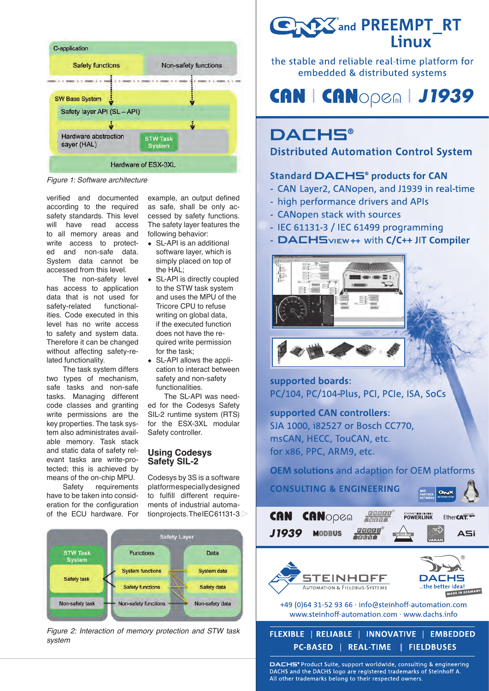

*Figure 1: Software architecture*

verified and documented according to the required safety standards. This level will have read access to all memory areas and write access to protected and non-safe data. System data cannot be accessed from this level.

The non-safety level has access to application data that is not used for safety-related functionalities. Code executed in this level has no write access to safety and system data. Therefore it can be changed without affecting safety-related functionality.

The task system differs two types of mechanism, safe tasks and non-safe tasks. Managing different code classes and granting write permissions are the key properties. The task system also administrates available memory. Task stack and static data of safety relevant tasks are write-protected; this is achieved by means of the on-chip MPU.

Safety requirements have to be taken into consideration for the configuration of the ECU hardware. For

example, an output defined as safe, shall be only accessed by safety functions. The safety layer features the following behavior:

- ◆ SL-API is an additional software layer, which is simply placed on top of the HAL;
- ◆ SL-API is directly coupled to the STW task system and uses the MPU of the Tricore CPU to refuse writing on global data, if the executed function does not have the required write permission for the task;
- ◆ SL-API allows the application to interact between safety and non-safety functionalities.

The SL-API was needed for the Codesys Safety SIL-2 runtime system (RTS) for the ESX-3XL modular Safety controller.

# **Using Codesys Safety SIL-2**

Codesys by 3S is a software platform especially designed to fulfill different requirements of industrial automation projects. The IEC 61131-3



*Figure 2: Interaction of memory protection and STW task system*

**CARY and PREEMPT\_RT Linux** 

the stable and reliable real-time platform for embedded & distributed systems

# **CAN | CANOPEA | J1939**

# **DACHS®**

**Distributed Automation Control System** 

# Standard DACHS<sup>®</sup> products for CAN

- CAN Layer2, CANopen, and J1939 in real-time
- high performance drivers and APIs
- CANopen stack with sources
- IEC 61131-3 / IEC 61499 programming
- DACHSVIEW++ with C/C++ JIT Compiler



supported boards: PC/104, PC/104-Plus, PCI, PCIe, ISA, SoCs

supported CAN controllers: SJA 1000, i82527 or Bosch CC770, msCAN, HECC, TouCAN, etc. for x86, PPC, ARM9, etc.

**OEM solutions and adaption for OEM platforms** 



DACHS® Product Suite, support worldwide, consulting & engineering DACHS and the DACHS logo are registered trademarks of Steinhoff A. All other trademarks belong to their respected owners.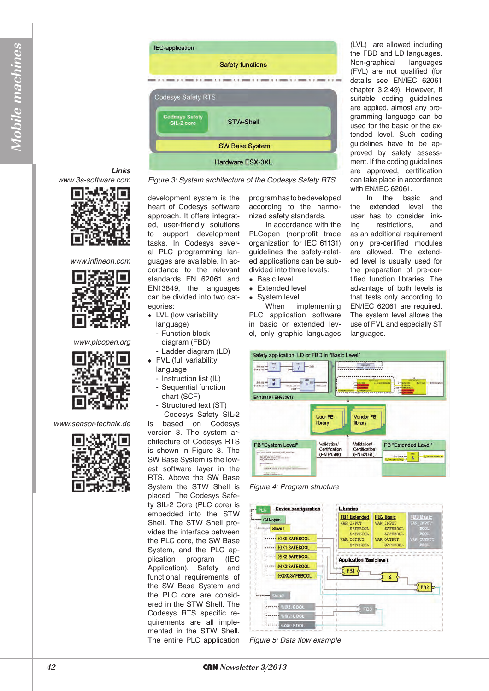

Figure 3: System architecture of the Codesys Safety RTS

### **Links** www.3s-software.com



*www.infineon.com*



*www.plcopen.org*



*www.sensor-technik.de*



development system is the heart of Codesys software approach. It offers integrated, user-friendly solutions to support development tasks. In Codesys several PLC programming languages are available. In accordance to the relevant standards EN 62061 and EN13849, the languages can be divided into two categories:

- ◆ LVL (low variability
- language) - Function block
- diagram (FBD)
- Ladder diagram (LD)
- ◆ FVL (full variability language
- Instruction list (IL)
- Sequential function
- chart (SCF) Structured text (ST)
- Codesys Safety SIL-2

is based on Codesys version 3. The system architecture of Codesys RTS is shown in Figure 3. The SW Base System is the lowest software layer in the RTS. Above the SW Base System the STW Shell is placed. The Codesys Safety SIL-2 Core (PLC core) is embedded into the STW Shell. The STW Shell provides the interface between the PLC core, the SW Base System, and the PLC application program (IEC Application). Safety and functional requirements of the SW Base System and the PLC core are considered in the STW Shell. The Codesys RTS specific requirements are all implemented in the STW Shell. The entire PLC application program has to be developed according to the harmonized safety standards.

In accordance with the PLCopen (nonprofit trade organization for IEC 61131) guidelines the safety-related applications can be subdivided into three levels:

- ◆ Basic level
- ◆ Extended level
- System level

When implementing PLC application software in basic or extended level, only graphic languages (LVL) are allowed including the FBD and LD languages. Non-graphical languages (FVL) are not qualified (for details see EN/IEC 62061 chapter 3.2.49). However, if suitable coding guidelines are applied, almost any programming language can be used for the basic or the extended level. Such coding guidelines have to be approved by safety assessment. If the coding guidelines are approved, certification can take place in accordance with EN/IEC 62061.

In the basic and the extended level the user has to consider linking restrictions, and as an additional requirement only pre-certified modules are allowed. The extended level is usually used for the preparation of pre-certified function libraries. The advantage of both levels is that tests only according to EN/IEC 62061 are required. The system level allows the use of FVL and especially ST languages.



*Figure 4: Program structure*



*Figure 5: Data flow example*